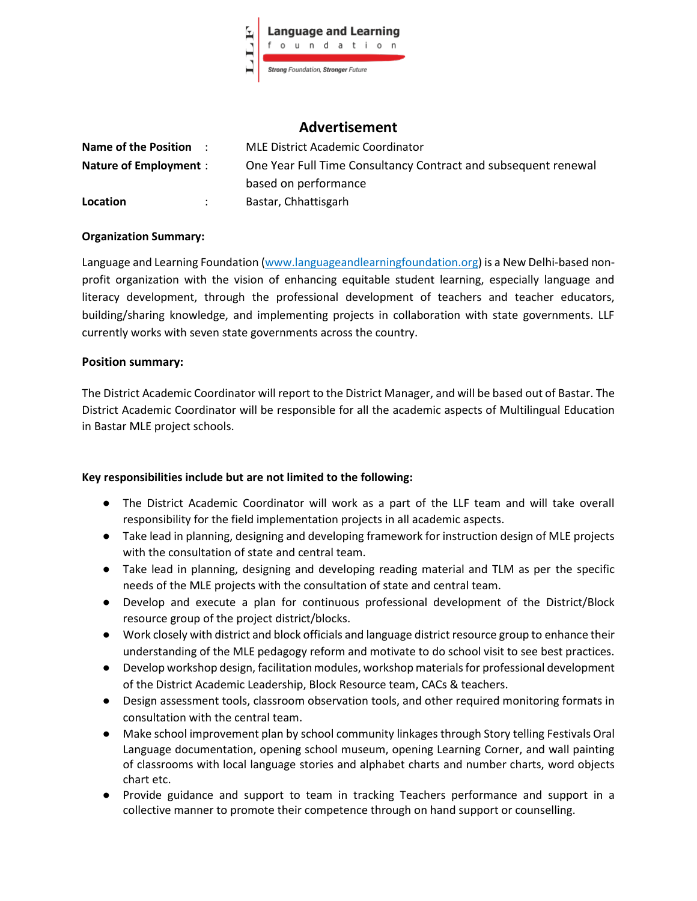

# **Advertisement**

| Name of the Position :       |                      | <b>MLE District Academic Coordinator</b>                       |
|------------------------------|----------------------|----------------------------------------------------------------|
| <b>Nature of Employment:</b> |                      | One Year Full Time Consultancy Contract and subsequent renewal |
|                              |                      | based on performance                                           |
| Location                     | $\ddot{\phantom{a}}$ | Bastar, Chhattisgarh                                           |

#### **Organization Summary:**

Language and Learning Foundation (www.languageandlearningfoundation.org) is a New Delhi-based nonprofit organization with the vision of enhancing equitable student learning, especially language and literacy development, through the professional development of teachers and teacher educators, building/sharing knowledge, and implementing projects in collaboration with state governments. LLF currently works with seven state governments across the country.

#### **Position summary:**

The District Academic Coordinator will report to the District Manager, and will be based out of Bastar. The District Academic Coordinator will be responsible for all the academic aspects of Multilingual Education in Bastar MLE project schools.

## **Key responsibilities include but are not limited to the following:**

- The District Academic Coordinator will work as a part of the LLF team and will take overall responsibility for the field implementation projects in all academic aspects.
- Take lead in planning, designing and developing framework for instruction design of MLE projects with the consultation of state and central team.
- Take lead in planning, designing and developing reading material and TLM as per the specific needs of the MLE projects with the consultation of state and central team.
- Develop and execute a plan for continuous professional development of the District/Block resource group of the project district/blocks.
- Work closely with district and block officials and language district resource group to enhance their understanding of the MLE pedagogy reform and motivate to do school visit to see best practices.
- Develop workshop design, facilitation modules, workshop materials for professional development of the District Academic Leadership, Block Resource team, CACs & teachers.
- Design assessment tools, classroom observation tools, and other required monitoring formats in consultation with the central team.
- Make school improvement plan by school community linkages through Story telling Festivals Oral Language documentation, opening school museum, opening Learning Corner, and wall painting of classrooms with local language stories and alphabet charts and number charts, word objects chart etc.
- Provide guidance and support to team in tracking Teachers performance and support in a collective manner to promote their competence through on hand support or counselling.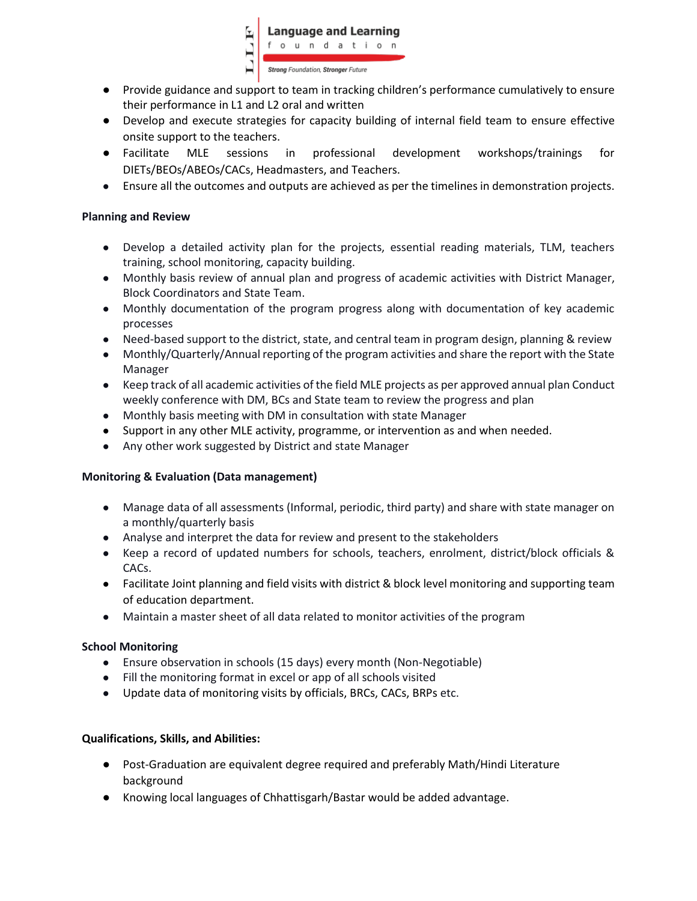

- Provide guidance and support to team in tracking children's performance cumulatively to ensure their performance in L1 and L2 oral and written
- Develop and execute strategies for capacity building of internal field team to ensure effective onsite support to the teachers.
- Facilitate MLE sessions in professional development workshops/trainings for DIETs/BEOs/ABEOs/CACs, Headmasters, and Teachers.
- Ensure all the outcomes and outputs are achieved as per the timelines in demonstration projects.

#### **Planning and Review**

- Develop a detailed activity plan for the projects, essential reading materials, TLM, teachers training, school monitoring, capacity building.
- Monthly basis review of annual plan and progress of academic activities with District Manager, Block Coordinators and State Team.
- Monthly documentation of the program progress along with documentation of key academic processes
- Need-based support to the district, state, and central team in program design, planning & review
- Monthly/Quarterly/Annual reporting of the program activities and share the report with the State Manager
- Keep track of all academic activities of the field MLE projects as per approved annual plan Conduct weekly conference with DM, BCs and State team to review the progress and plan
- Monthly basis meeting with DM in consultation with state Manager
- Support in any other MLE activity, programme, or intervention as and when needed.
- Any other work suggested by District and state Manager

## **Monitoring & Evaluation (Data management)**

- Manage data of all assessments (Informal, periodic, third party) and share with state manager on a monthly/quarterly basis
- Analyse and interpret the data for review and present to the stakeholders
- Keep a record of updated numbers for schools, teachers, enrolment, district/block officials & CACs.
- Facilitate Joint planning and field visits with district & block level monitoring and supporting team of education department.
- Maintain a master sheet of all data related to monitor activities of the program

## **School Monitoring**

- Ensure observation in schools (15 days) every month (Non-Negotiable)
- Fill the monitoring format in excel or app of all schools visited
- Update data of monitoring visits by officials, BRCs, CACs, BRPs etc.

## **Qualifications, Skills, and Abilities:**

- Post-Graduation are equivalent degree required and preferably Math/Hindi Literature background
- Knowing local languages of Chhattisgarh/Bastar would be added advantage.